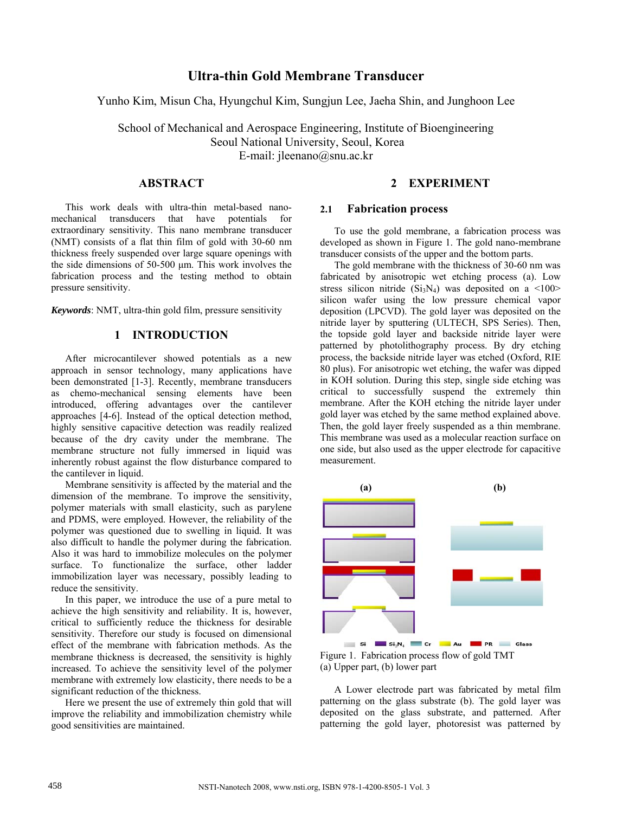# **Ultra-thin Gold Membrane Transducer**

Yunho Kim, Misun Cha, Hyungchul Kim, Sungjun Lee, Jaeha Shin, and Junghoon Lee

School of Mechanical and Aerospace Engineering, Institute of Bioengineering Seoul National University, Seoul, Korea E-mail: jleenano@snu.ac.kr

# **ABSTRACT**

This work deals with ultra-thin metal-based nanomechanical transducers that have potentials for extraordinary sensitivity. This nano membrane transducer (NMT) consists of a flat thin film of gold with 30-60 nm thickness freely suspended over large square openings with the side dimensions of 50-500 μm. This work involves the fabrication process and the testing method to obtain pressure sensitivity.

*Keywords*: NMT, ultra-thin gold film, pressure sensitivity

# **1 INTRODUCTION**

After microcantilever showed potentials as a new approach in sensor technology, many applications have been demonstrated [1-3]. Recently, membrane transducers as chemo-mechanical sensing elements have been introduced, offering advantages over the cantilever approaches [4-6]. Instead of the optical detection method, highly sensitive capacitive detection was readily realized because of the dry cavity under the membrane. The membrane structure not fully immersed in liquid was inherently robust against the flow disturbance compared to the cantilever in liquid.

Membrane sensitivity is affected by the material and the dimension of the membrane. To improve the sensitivity, polymer materials with small elasticity, such as parylene and PDMS, were employed. However, the reliability of the polymer was questioned due to swelling in liquid. It was also difficult to handle the polymer during the fabrication. Also it was hard to immobilize molecules on the polymer surface. To functionalize the surface, other ladder immobilization layer was necessary, possibly leading to reduce the sensitivity.

In this paper, we introduce the use of a pure metal to achieve the high sensitivity and reliability. It is, however, critical to sufficiently reduce the thickness for desirable sensitivity. Therefore our study is focused on dimensional effect of the membrane with fabrication methods. As the membrane thickness is decreased, the sensitivity is highly increased. To achieve the sensitivity level of the polymer membrane with extremely low elasticity, there needs to be a significant reduction of the thickness.

Here we present the use of extremely thin gold that will improve the reliability and immobilization chemistry while good sensitivities are maintained.

# **2 EXPERIMENT**

#### **2.1 Fabrication process**

To use the gold membrane, a fabrication process was developed as shown in Figure 1. The gold nano-membrane transducer consists of the upper and the bottom parts.

The gold membrane with the thickness of 30-60 nm was fabricated by anisotropic wet etching process (a). Low stress silicon nitride  $(Si<sub>3</sub>N<sub>4</sub>)$  was deposited on a <100> silicon wafer using the low pressure chemical vapor deposition (LPCVD). The gold layer was deposited on the nitride layer by sputtering (ULTECH, SPS Series). Then, the topside gold layer and backside nitride layer were patterned by photolithography process. By dry etching process, the backside nitride layer was etched (Oxford, RIE 80 plus). For anisotropic wet etching, the wafer was dipped in KOH solution. During this step, single side etching was critical to successfully suspend the extremely thin membrane. After the KOH etching the nitride layer under gold layer was etched by the same method explained above. Then, the gold layer freely suspended as a thin membrane. This membrane was used as a molecular reaction surface on one side, but also used as the upper electrode for capacitive measurement.



Figure 1. Fabrication process flow of gold TMT (a) Upper part, (b) lower part

A Lower electrode part was fabricated by metal film patterning on the glass substrate (b). The gold layer was deposited on the glass substrate, and patterned. After patterning the gold layer, photoresist was patterned by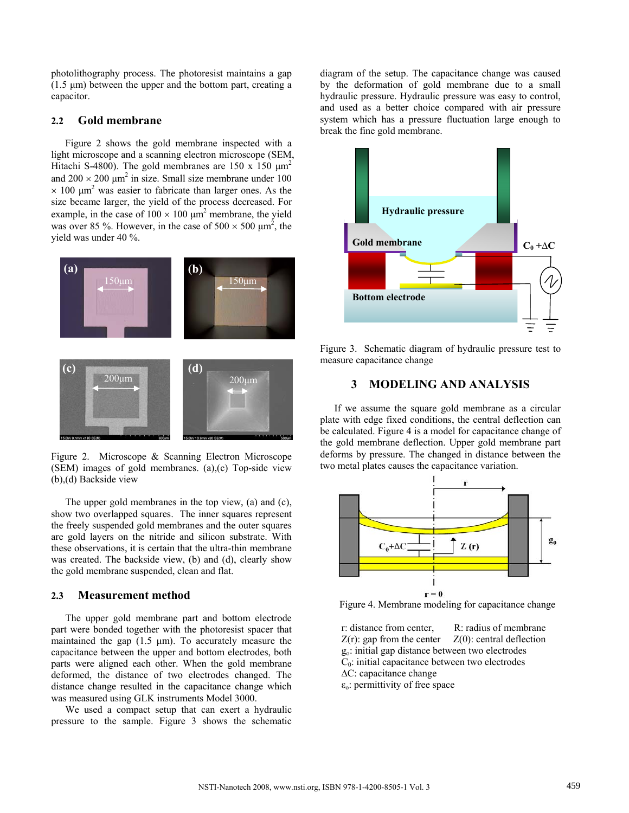photolithography process. The photoresist maintains a gap (1.5 μm) between the upper and the bottom part, creating a capacitor.

#### **2.2 Gold membrane**

Figure 2 shows the gold membrane inspected with a light microscope and a scanning electron microscope (SEM, Hitachi S-4800). The gold membranes are 150 x 150  $\mu$ m<sup>2</sup> and  $200 \times 200 \mu m^2$  in size. Small size membrane under 100  $\times$  100  $\mu$ m<sup>2</sup> was easier to fabricate than larger ones. As the size became larger, the yield of the process decreased. For example, in the case of  $100 \times 100 \mu m^2$  membrane, the yield was over 85 %. However, in the case of  $500 \times 500 \mu m^2$ , the yield was under 40 %.



Figure 2. Microscope & Scanning Electron Microscope (SEM) images of gold membranes. (a),(c) Top-side view (b),(d) Backside view

The upper gold membranes in the top view, (a) and (c), show two overlapped squares. The inner squares represent the freely suspended gold membranes and the outer squares are gold layers on the nitride and silicon substrate. With these observations, it is certain that the ultra-thin membrane was created. The backside view, (b) and (d), clearly show the gold membrane suspended, clean and flat.

#### **2.3 Measurement method**

The upper gold membrane part and bottom electrode part were bonded together with the photoresist spacer that maintained the gap  $(1.5 \mu m)$ . To accurately measure the capacitance between the upper and bottom electrodes, both parts were aligned each other. When the gold membrane deformed, the distance of two electrodes changed. The distance change resulted in the capacitance change which was measured using GLK instruments Model 3000.

We used a compact setup that can exert a hydraulic pressure to the sample. Figure 3 shows the schematic

diagram of the setup. The capacitance change was caused by the deformation of gold membrane due to a small hydraulic pressure. Hydraulic pressure was easy to control, and used as a better choice compared with air pressure system which has a pressure fluctuation large enough to break the fine gold membrane.



Figure 3. Schematic diagram of hydraulic pressure test to measure capacitance change

# **3 MODELING AND ANALYSIS**

If we assume the square gold membrane as a circular plate with edge fixed conditions, the central deflection can be calculated. Figure 4 is a model for capacitance change of the gold membrane deflection. Upper gold membrane part deforms by pressure. The changed in distance between the two metal plates causes the capacitance variation.



Figure 4. Membrane modeling for capacitance change

r: distance from center, R: radius of membrane  $Z(r)$ : gap from the center  $Z(0)$ : central deflection go: initial gap distance between two electrodes  $C<sub>0</sub>$ : initial capacitance between two electrodes ∆C: capacitance change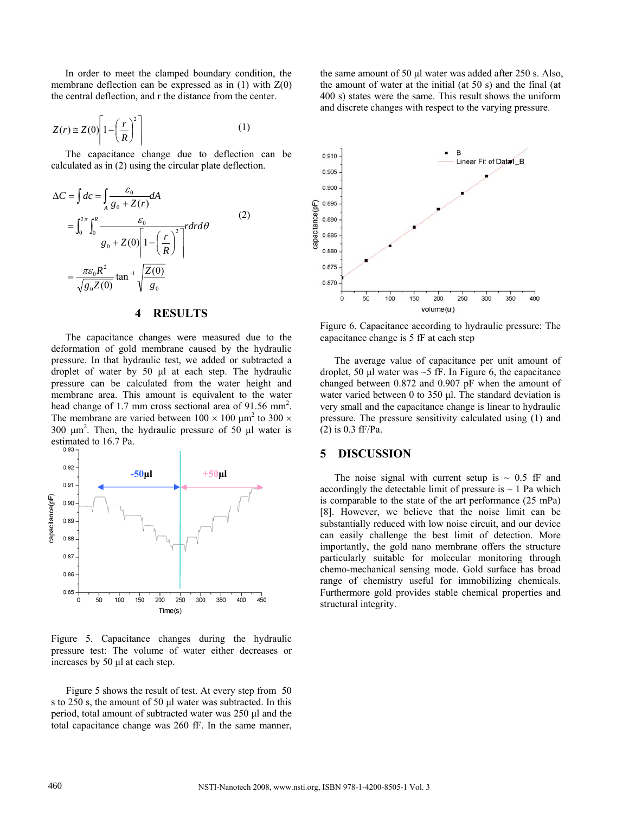In order to meet the clamped boundary condition, the membrane deflection can be expressed as in  $(1)$  with  $Z(0)$ the central deflection, and r the distance from the center.

$$
Z(r) \cong Z(0) \left[ 1 - \left(\frac{r}{R}\right)^2 \right] \tag{1}
$$

The capacitance change due to deflection can be calculated as in (2) using the circular plate deflection.

$$
\Delta C = \int dc = \int_{A} \frac{\varepsilon_0}{g_0 + Z(r)} dA
$$
  
= 
$$
\int_0^{2\pi} \int_0^R \frac{\varepsilon_0}{g_0 + Z(0) \left[1 - \left(\frac{r}{R}\right)^2\right]} r dr d\theta
$$
  
= 
$$
\frac{\pi \varepsilon_0 R^2}{\sqrt{g_0 Z(0)}} \tan^{-1} \sqrt{\frac{Z(0)}{g_0}}
$$
 (2)

#### **4 RESULTS**

The capacitance changes were measured due to the deformation of gold membrane caused by the hydraulic pressure. In that hydraulic test, we added or subtracted a droplet of water by 50 μl at each step. The hydraulic pressure can be calculated from the water height and membrane area. This amount is equivalent to the water head change of 1.7 mm cross sectional area of 91.56 mm<sup>2</sup>. The membrane are varied between  $100 \times 100 \mu m^2$  to  $300 \times$ 300  $\mu$ m<sup>2</sup>. Then, the hydraulic pressure of 50  $\mu$ l water is estimated to 16.7 Pa.



Figure 5. Capacitance changes during the hydraulic pressure test: The volume of water either decreases or increases by 50 μl at each step.

Figure 5 shows the result of test. At every step from 50 s to 250 s, the amount of 50 μl water was subtracted. In this period, total amount of subtracted water was 250 μl and the total capacitance change was 260 fF. In the same manner,

the same amount of 50 μl water was added after 250 s. Also, the amount of water at the initial (at 50 s) and the final (at 400 s) states were the same. This result shows the uniform and discrete changes with respect to the varying pressure.



Figure 6. Capacitance according to hydraulic pressure: The capacitance change is 5 fF at each step

The average value of capacitance per unit amount of droplet, 50  $\mu$ l water was ~5 fF. In Figure 6, the capacitance changed between 0.872 and 0.907 pF when the amount of water varied between 0 to 350 μl. The standard deviation is very small and the capacitance change is linear to hydraulic pressure. The pressure sensitivity calculated using (1) and (2) is 0.3 fF/Pa.

#### **5 DISCUSSION**

The noise signal with current setup is  $\sim 0.5$  fF and accordingly the detectable limit of pressure is  $\sim$  1 Pa which is comparable to the state of the art performance (25 mPa) [8]. However, we believe that the noise limit can be substantially reduced with low noise circuit, and our device can easily challenge the best limit of detection. More importantly, the gold nano membrane offers the structure particularly suitable for molecular monitoring through chemo-mechanical sensing mode. Gold surface has broad range of chemistry useful for immobilizing chemicals. Furthermore gold provides stable chemical properties and structural integrity.